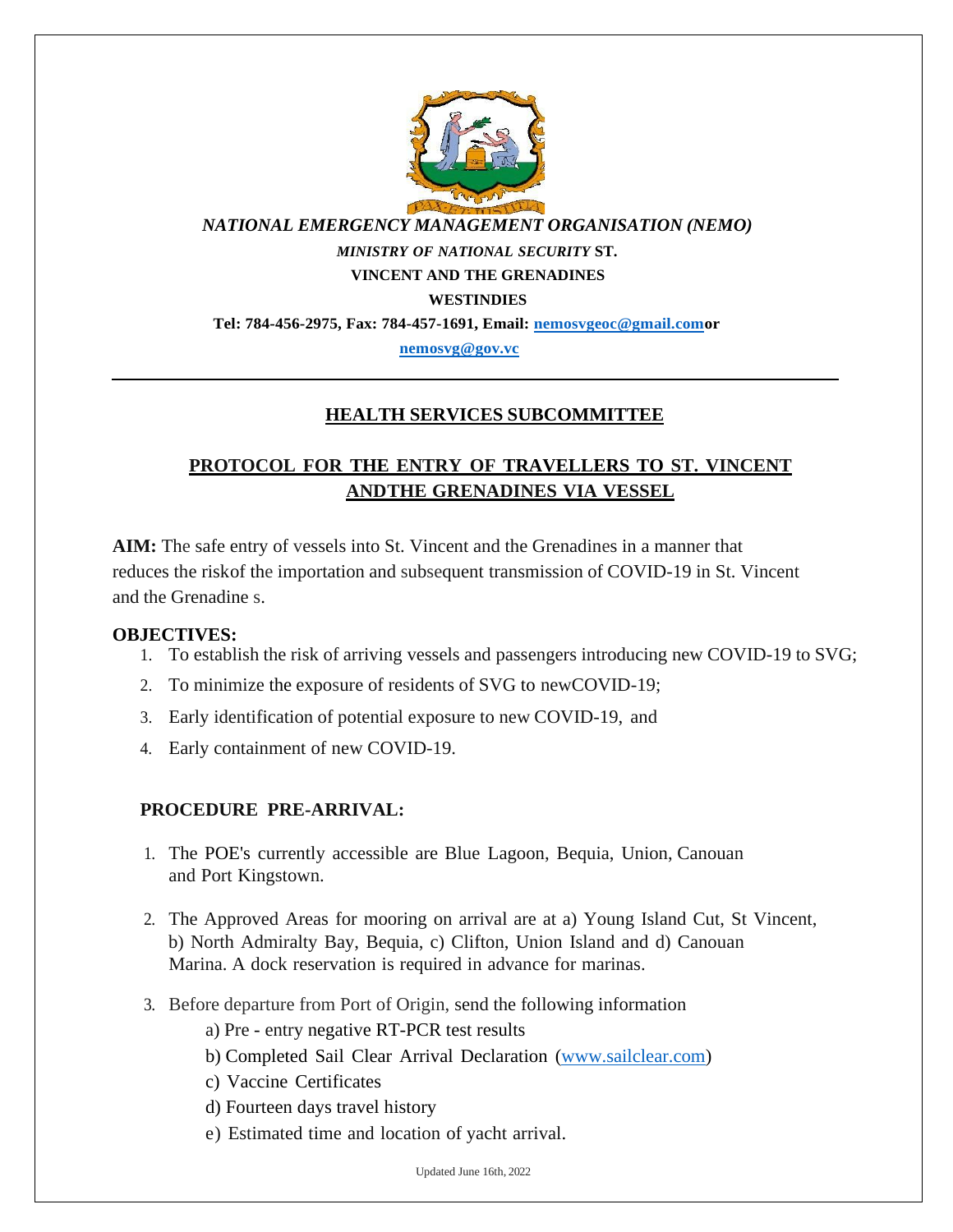

*NATIONAL EMERGENCY MANAGEMENT ORGANISATION (NEMO)*

*MINISTRY OF NATIONAL SECURITY* **ST.**

**VINCENT AND THE GRENADINES** 

**WESTINDIES**

**Tel: 784-456-2975, Fax: 784-457-1691, Email: [nemosvgeoc@gmail.como](mailto:nemosvgeoc@gmail.com)r**

**[nemosvg@gov.vc](mailto:nemosvg@gov.vc)**

## **HEALTH SERVICES SUBCOMMITTEE**

# **PROTOCOL FOR THE ENTRY OF TRAVELLERS TO ST. VINCENT ANDTHE GRENADINES VIA VESSEL**

**AIM:** The safe entry of vessels into St. Vincent and the Grenadines in a manner that reduces the riskof the importation and subsequent transmission of COVID-19 in St. Vincent and the Grenadine s.

#### **OBJECTIVES:**

- 1. To establish the risk of arriving vessels and passengers introducing new COVID-19 to SVG;
- 2. To minimize the exposure of residents of SVG to newCOVID-19;
- 3. Early identification of potential exposure to new COVID-19, and
- 4. Early containment of new COVID-19.

## **PROCEDURE PRE-ARRIVAL:**

- 1. The POE's currently accessible are Blue Lagoon, Bequia, Union, Canouan and Port Kingstown.
- 2. The Approved Areas for mooring on arrival are at a) Young Island Cut, St Vincent, b) North Admiralty Bay, Bequia, c) Clifton, Union Island and d) Canouan Marina. A dock reservation is required in advance for marinas.
- 3. Before departure from Port of Origin, send the following information
	- a) Pre entry negative RT-PCR test results
	- b) Completed Sail Clear Arrival Declaration [\(www.sailclear.com\)](http://www.sailclear.com/)
	- c) Vaccine Certificates
	- d) Fourteen days travel history
	- e) Estimated time and location of yacht arrival.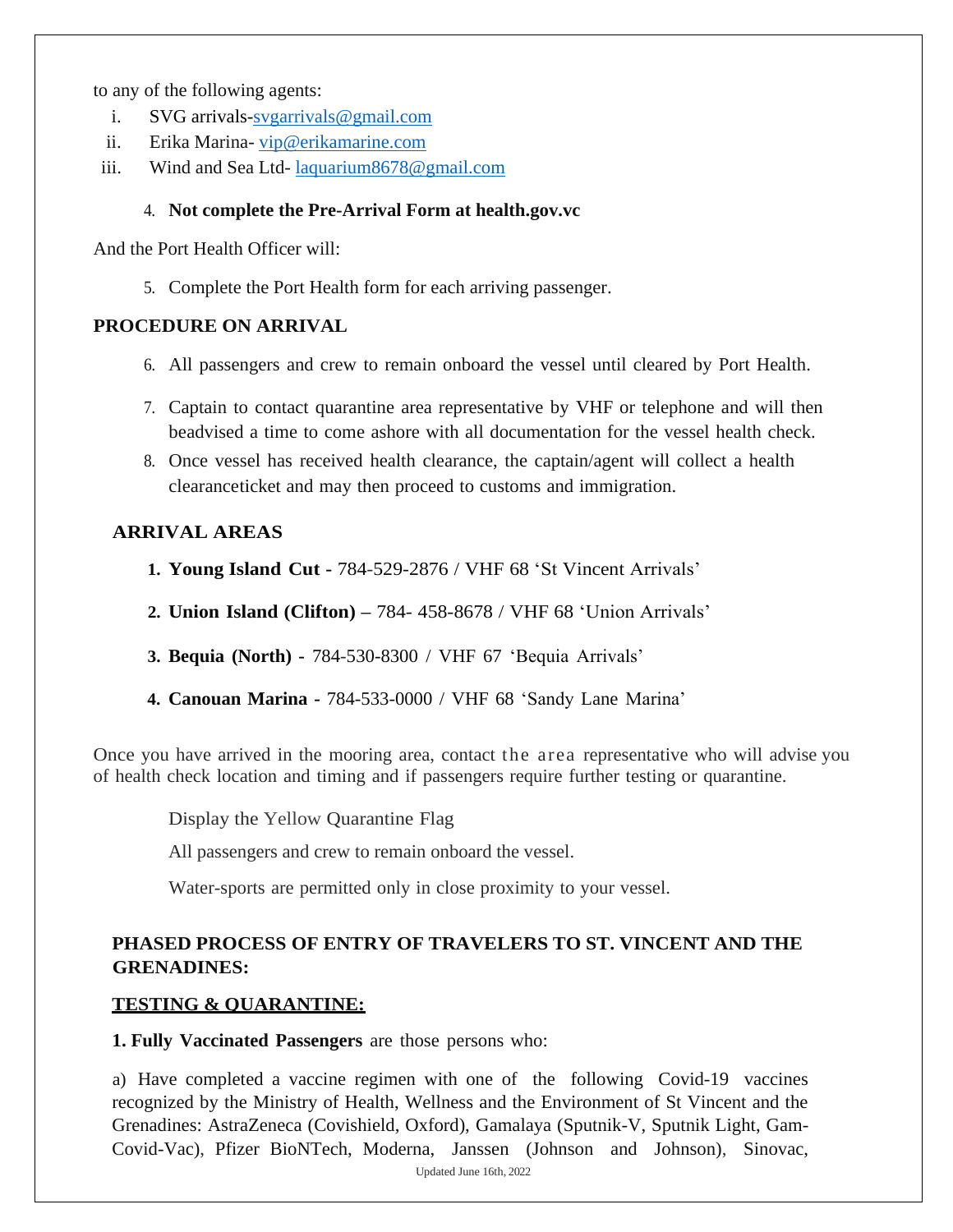to any of the following agents:

- i. SVG arrivals[-svgarrivals@gmail.com](mailto:svgarrivals@gmail.com)
- ii. Erika Marina- [vip@erikamarine.com](mailto:vip@erikamarine.com)
- iii. Wind and Sea Ltd- [laquarium8678@gmail.com](mailto:laquarium8678@gmail.com)

#### 4. **Not complete the Pre-Arrival Form at health.gov.vc**

And the Port Health Officer will:

5. Complete the Port Health form for each arriving passenger.

## **PROCEDURE ON ARRIVAL**

- 6. All passengers and crew to remain onboard the vessel until cleared by Port Health.
- 7. Captain to contact quarantine area representative by VHF or telephone and will then beadvised a time to come ashore with all documentation for the vessel health check.
- 8. Once vessel has received health clearance, the captain/agent will collect a health clearanceticket and may then proceed to customs and immigration.

## **ARRIVAL AREAS**

- **1. Young Island Cut -** 784-529-2876 / VHF 68 'St Vincent Arrivals'
- **2. Union Island (Clifton) –** 784- 458-8678 / VHF 68 'Union Arrivals'
- **3. Bequia (North) -** 784-530-8300 / VHF 67 'Bequia Arrivals'
- **4. Canouan Marina -** 784-533-0000 / VHF 68 'Sandy Lane Marina'

Once you have arrived in the mooring area, contact the area representative who will advise you of health check location and timing and if passengers require further testing or quarantine.

Display the Yellow Quarantine Flag

All passengers and crew to remain onboard the vessel.

Water-sports are permitted only in close proximity to your vessel.

## **PHASED PROCESS OF ENTRY OF TRAVELERS TO ST. VINCENT AND THE GRENADINES:**

#### **TESTING & QUARANTINE:**

**1. Fully Vaccinated Passengers** are those persons who:

Updated June 16th, 2022 a) Have completed a vaccine regimen with one of the following Covid-19 vaccines recognized by the Ministry of Health, Wellness and the Environment of St Vincent and the Grenadines: AstraZeneca (Covishield, Oxford), Gamalaya (Sputnik-V, Sputnik Light, Gam-Covid-Vac), Pfizer BioNTech, Moderna, Janssen (Johnson and Johnson), Sinovac,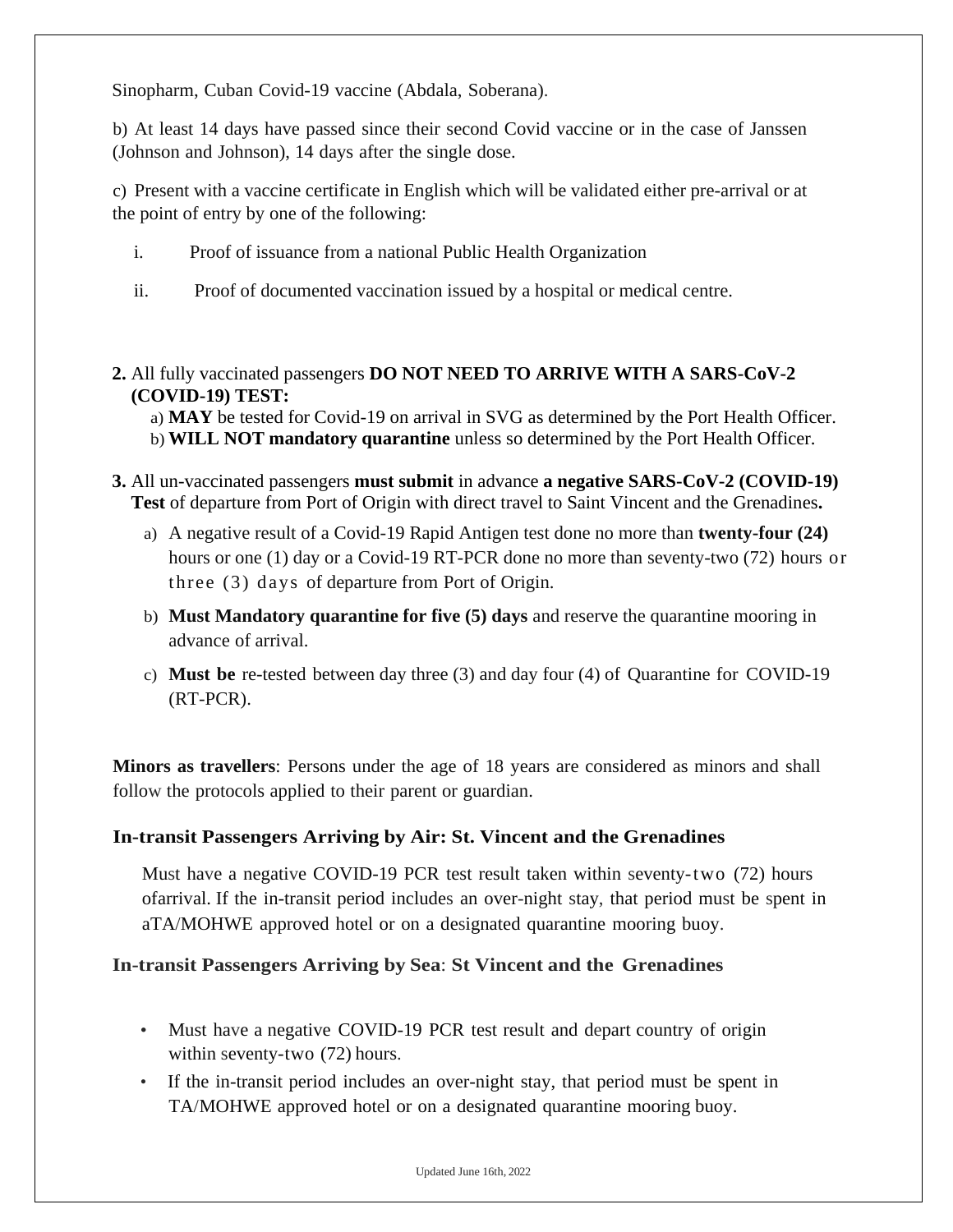Sinopharm, Cuban Covid-19 vaccine (Abdala, Soberana).

b) At least 14 days have passed since their second Covid vaccine or in the case of Janssen (Johnson and Johnson), 14 days after the single dose.

c) Present with a vaccine certificate in English which will be validated either pre-arrival or at the point of entry by one of the following:

- i. Proof of issuance from a national Public Health Organization
- ii. Proof of documented vaccination issued by a hospital or medical centre.
- **2.** All fully vaccinated passengers **DO NOT NEED TO ARRIVE WITH A SARS-CoV-2 (COVID-19) TEST:**

a) **MAY** be tested for Covid-19 on arrival in SVG as determined by the Port Health Officer. b) **WILL NOT mandatory quarantine** unless so determined by the Port Health Officer.

- **3.** All un-vaccinated passengers **must submit** in advance **a negative SARS-CoV-2 (COVID-19) Test** of departure from Port of Origin with direct travel to Saint Vincent and the Grenadines**.**
	- a) A negative result of a Covid-19 Rapid Antigen test done no more than **twenty-four (24)**  hours or one (1) day or a Covid-19 RT-PCR done no more than seventy-two (72) hours or three (3) days of departure from Port of Origin.
	- b) **Must Mandatory quarantine for five (5) days** and reserve the quarantine mooring in advance of arrival.
	- c) **Must be** re-tested between day three (3) and day four (4) of Quarantine for COVID-19 (RT-PCR).

**Minors as travellers**: Persons under the age of 18 years are considered as minors and shall follow the protocols applied to their parent or guardian.

## **In-transit Passengers Arriving by Air: St. Vincent and the Grenadines**

Must have a negative COVID-19 PCR test result taken within seventy-two (72) hours ofarrival. If the in-transit period includes an over-night stay, that period must be spent in aTA/MOHWE approved hotel or on a designated quarantine mooring buoy.

## **In-transit Passengers Arriving by Sea**: **St Vincent and the Grenadines**

- Must have a negative COVID-19 PCR test result and depart country of origin within seventy-two (72) hours.
- If the in-transit period includes an over-night stay, that period must be spent in TA/MOHWE approved hotel or on a designated quarantine mooring buoy.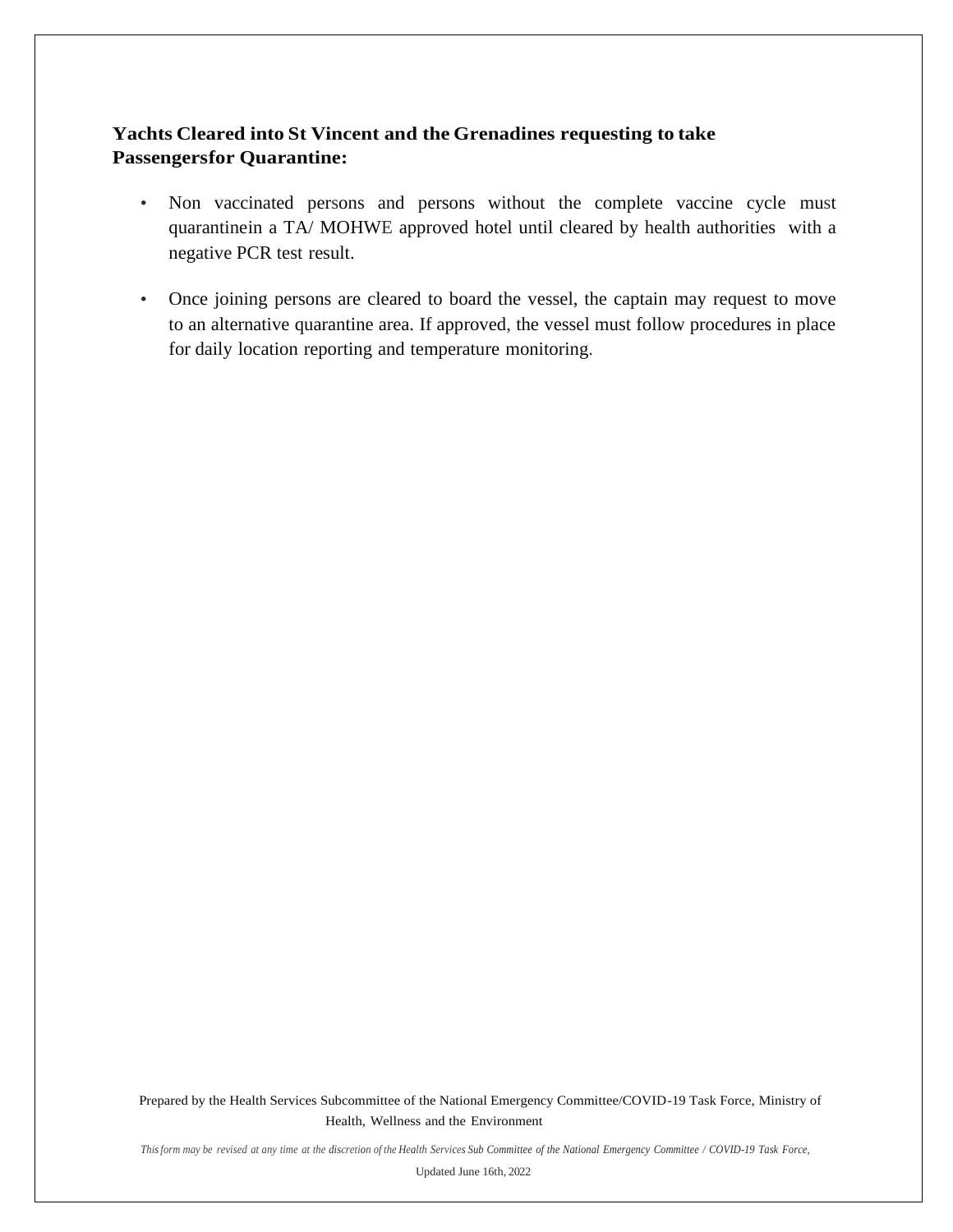## **Yachts Cleared into St Vincent and the Grenadines requesting to take Passengersfor Quarantine:**

- Non vaccinated persons and persons without the complete vaccine cycle must quarantinein a TA/ MOHWE approved hotel until cleared by health authorities with a negative PCR test result.
- Once joining persons are cleared to board the vessel, the captain may request to move to an alternative quarantine area. If approved, the vessel must follow procedures in place for daily location reporting and temperature monitoring.

Prepared by the Health Services Subcommittee of the National Emergency Committee/COVID-19 Task Force, Ministry of Health, Wellness and the Environment

This form may be revised at any time at the discretion of the Health Services Sub Committee of the National Emergency Committee / COVID-19 Task Force,

Updated June 16th, 2022